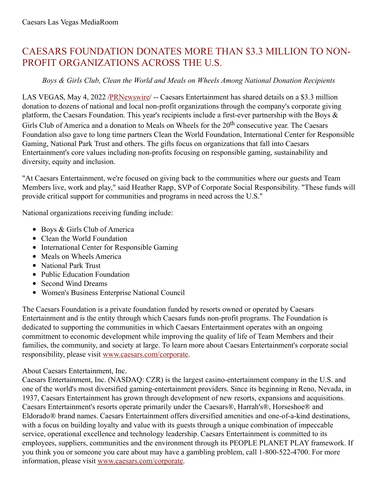## CAESARS FOUNDATION DONATES MORE THAN \$3.3 MILLION TO NON-PROFIT ORGANIZATIONS ACROSS THE U.S.

## *Boys & Girls Club, Clean the World and Meals on Wheels Among National Donation Recipients*

LAS VEGAS, May 4, 2022 [/PRNewswire](http://www.prnewswire.com/)/ -- Caesars Entertainment has shared details on a \$3.3 million donation to dozens of national and local non-profit organizations through the company's corporate giving platform, the Caesars Foundation. This year's recipients include a first-ever partnership with the Boys & Girls Club of America and a donation to Meals on Wheels for the 20<sup>th</sup> consecutive year. The Caesars Foundation also gave to long time partners Clean the World Foundation, International Center for Responsible Gaming, National Park Trust and others. The gifts focus on organizations that fall into Caesars Entertainment's core values including non-profits focusing on responsible gaming, sustainability and diversity, equity and inclusion.

"At Caesars Entertainment, we're focused on giving back to the communities where our guests and Team Members live, work and play," said Heather Rapp, SVP of Corporate Social Responsibility. "These funds will provide critical support for communities and programs in need across the U.S."

National organizations receiving funding include:

- Boys & Girls Club of America
- Clean the World Foundation
- International Center for Responsible Gaming
- Meals on Wheels America
- National Park Trust
- Public Education Foundation
- Second Wind Dreams
- Women's Business Enterprise National Council

The Caesars Foundation is a private foundation funded by resorts owned or operated by Caesars Entertainment and is the entity through which Caesars funds non-profit programs. The Foundation is dedicated to supporting the communities in which Caesars Entertainment operates with an ongoing commitment to economic development while improving the quality of life of Team Members and their families, the community, and society at large. To learn more about Caesars Entertainment's corporate social responsibility, please visit [www.caesars.com/corporate.](https://c212.net/c/link/?t=0&l=en&o=3525934-1&h=732739845&u=https%3A%2F%2Fwww.caesars.com%2Fcorporate%2Fcorporate-social-responsibility&a=www.caesars.com%2Fcorporate)

## About Caesars Entertainment, Inc.

Caesars Entertainment, Inc. (NASDAQ: CZR) is the largest casino-entertainment company in the U.S. and one of the world's most diversified gaming-entertainment providers. Since its beginning in Reno, Nevada, in 1937, Caesars Entertainment has grown through development of new resorts, expansions and acquisitions. Caesars Entertainment's resorts operate primarily under the Caesars®, Harrah's®, Horseshoe® and Eldorado® brand names. Caesars Entertainment offers diversified amenities and one-of-a-kind destinations, with a focus on building loyalty and value with its guests through a unique combination of impeccable service, operational excellence and technology leadership. Caesars Entertainment is committed to its employees, suppliers, communities and the environment through its PEOPLE PLANET PLAY framework. If you think you or someone you care about may have a gambling problem, call 1-800-522-4700. For more information, please visit [www.caesars.com/corporate](https://c212.net/c/link/?t=0&l=en&o=3525934-1&h=3232441113&u=http%3A%2F%2Fwww.caesars.com%2Fcorporate&a=www.caesars.com%2Fcorporate).